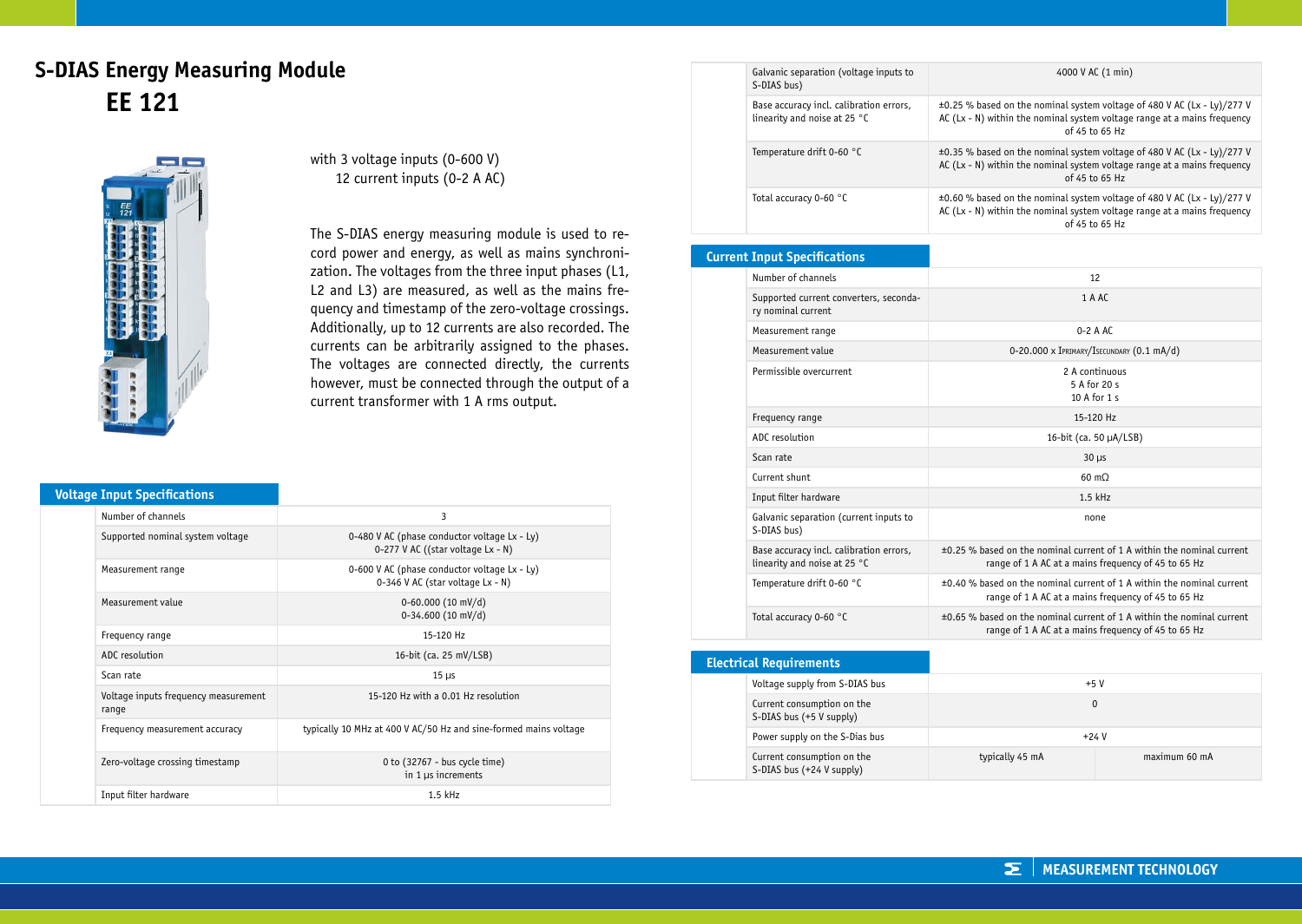## **S-DIAS Energy Measuring Module EE 121**



with 3 voltage inputs (0-600 V) 12 current inputs (0-2 A AC)

The S-DIAS energy measuring module is used to record power and energy, as well as mains synchronization. The voltages from the three input phases (L1, L2 and L3) are measured, as well as the mains frequency and timestamp of the zero-voltage crossings. Additionally, up to 12 currents are also recorded. The currents can be arbitrarily assigned to the phases. The voltages are connected directly, the currents however, must be connected through the output of a current transformer with 1 A rms output.

|  | <b>Voltage Input Specifications</b> |  |
|--|-------------------------------------|--|
|  |                                     |  |

| Number of channels                            | 3                                                                                 |  |
|-----------------------------------------------|-----------------------------------------------------------------------------------|--|
| Supported nominal system voltage              | 0-480 V AC (phase conductor voltage Lx - Ly)<br>0-277 V AC ((star voltage Lx - N) |  |
| Measurement range                             | 0-600 V AC (phase conductor voltage Lx - Ly)<br>0-346 V AC (star voltage Lx - N)  |  |
| Measurement value                             | $0-60.000$ (10 mV/d)<br>$0-34.600$ (10 mV/d)                                      |  |
| Frequency range                               | 15-120 Hz                                                                         |  |
| ADC resolution                                | 16-bit (ca. 25 mV/LSB)                                                            |  |
| Scan rate                                     | $15 \mu s$                                                                        |  |
| Voltage inputs frequency measurement<br>range | 15-120 Hz with a 0.01 Hz resolution                                               |  |
| Frequency measurement accuracy                | typically 10 MHz at 400 V AC/50 Hz and sine-formed mains voltage                  |  |
| Zero-voltage crossing timestamp               | 0 to (32767 - bus cycle time)<br>in $1 \mu s$ increments                          |  |
| Input filter hardware                         | $1.5$ kHz                                                                         |  |

| Galvanic separation (voltage inputs to<br>S-DIAS bus)                   | 4000 V AC (1 min)                                                                                                                                                                             |
|-------------------------------------------------------------------------|-----------------------------------------------------------------------------------------------------------------------------------------------------------------------------------------------|
| Base accuracy incl. calibration errors,<br>linearity and noise at 25 °C | $\pm 0.25$ % based on the nominal system voltage of 480 V AC (Lx - Ly)/277 V<br>AC ( $\lfloor x - N \rfloor$ ) within the nominal system voltage range at a mains frequency<br>of 45 to 65 Hz |
| Temperature drift 0-60 °C                                               | $\pm 0.35$ % based on the nominal system voltage of 480 V AC (Lx - Ly)/277 V<br>AC ( $Lx - N$ ) within the nominal system voltage range at a mains frequency<br>of 45 to 65 Hz                |
| Total accuracy 0-60 °C                                                  | $\pm 0.60$ % based on the nominal system voltage of 480 V AC (Lx - Ly)/277 V<br>AC ( $Lx - N$ ) within the nominal system voltage range at a mains frequency<br>of 45 to 65 Hz                |

#### **Current Input Specifications**

| Number of channels                                                      | 12                                                                                                                                 |
|-------------------------------------------------------------------------|------------------------------------------------------------------------------------------------------------------------------------|
| Supported current converters, seconda-<br>ry nominal current            | 1 A AC                                                                                                                             |
| Measurement range                                                       | $0-2$ A AC                                                                                                                         |
| Measurement value                                                       | 0-20.000 x IPRIMARY/ISECUNDARY (0.1 mA/d)                                                                                          |
| Permissible overcurrent                                                 | 2 A continuous<br>5 A for 20 s<br>10 A for 1 s                                                                                     |
| Frequency range                                                         | 15-120 Hz                                                                                                                          |
| ADC resolution                                                          | 16-bit (ca. 50 µA/LSB)                                                                                                             |
| Scan rate                                                               | $30 \mu s$                                                                                                                         |
| Current shunt                                                           | $60 \text{ m}$                                                                                                                     |
| Input filter hardware                                                   | $1.5$ kHz                                                                                                                          |
| Galvanic separation (current inputs to<br>S-DIAS bus)                   | none                                                                                                                               |
| Base accuracy incl. calibration errors,<br>linearity and noise at 25 °C | $\pm 0.25$ % based on the nominal current of 1 A within the nominal current<br>range of 1 A AC at a mains frequency of 45 to 65 Hz |
| Temperature drift 0-60 °C                                               | $\pm 0.40$ % based on the nominal current of 1 A within the nominal current<br>range of 1 A AC at a mains frequency of 45 to 65 Hz |
| Total accuracy 0-60 °C                                                  | $\pm 0.65$ % based on the nominal current of 1 A within the nominal current<br>range of 1 A AC at a mains frequency of 45 to 65 Hz |

| <b>Electrical Requirements</b>                          |                 |               |
|---------------------------------------------------------|-----------------|---------------|
| Voltage supply from S-DIAS bus                          | $+5V$           |               |
| Current consumption on the<br>S-DIAS bus (+5 V supply)  | 0               |               |
| Power supply on the S-Dias bus                          | $+24V$          |               |
| Current consumption on the<br>S-DIAS bus (+24 V supply) | typically 45 mA | maximum 60 mA |